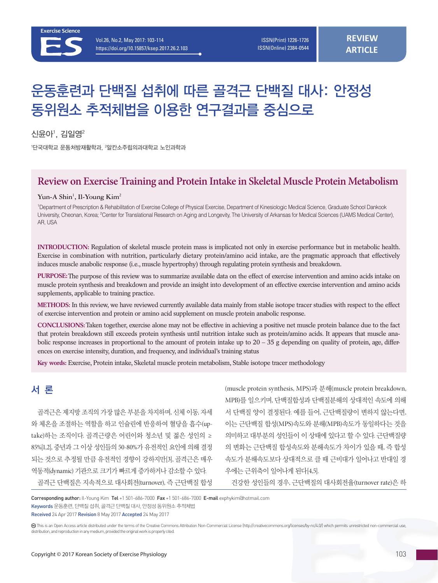# 운동훈련과 단백질 섭취에 따른 골격근 단백질 대사: 안정성 동위원소 추적체법을 이용한 연구결과를 중심으로

신윤아 $^{\rm l}$ , 김일영 $^{\rm 2}$ 

 $^{\rm 1}$ 단국대학교 운동처방재활학과,  $^{\rm 2}$ 알칸소주립의과대학교 노인과학과

# **Review on Exercise Training and Protein Intake in Skeletal Muscle Protein Metabolism**

## Yun-A Shin<sup>1</sup>, Il-Young Kim<sup>2</sup>

1 Department of Prescription & Rehabilitation of Exercise College of Physical Exercise, Department of Kinesiologic Medical Science, Graduate School Dankook University, Cheonan, Korea; <sup>2</sup>Center for Translational Research on Aging and Longevity, The University of Arkansas for Medical Sciences (UAMS Medical Center), AR, USA

**INTRODUCTION:** Regulation of skeletal muscle protein mass is implicated not only in exercise performance but in metabolic health. Exercise in combination with nutrition, particularly dietary protein/amino acid intake, are the pragmatic approach that effectively induces muscle anabolic response (i.e., muscle hypertrophy) through regulating protein synthesis and breakdown.

**PURPOSE:** The purpose of this review was to summarize available data on the effect of exercise intervention and amino acids intake on muscle protein synthesis and breakdown and provide an insight into development of an effective exercise intervention and amino acids supplements, applicable to training practice.

**METHODS:** In this review, we have reviewed currently available data mainly from stable isotope tracer studies with respect to the effect of exercise intervention and protein or amino acid supplement on muscle protein anabolic response.

**CONCLUSIONS:** Taken together, exercise alone may not be effective in achieving a positive net muscle protein balance due to the fact that protein breakdown still exceeds protein synthesis until nutrition intake such as protein/amino acids. It appears that muscle anabolic response increases in proportional to the amount of protein intake up to  $20 - 35$  g depending on quality of protein, age, differences on exercise intensity, duration, and frequency, and individual's training status

**Key words:** Exercise, Protein intake, Skeletal muscle protein metabolism, Stable isotope tracer methodology

# 서 론

골격근은 제지방 조직의 가장 많은 부분을 차지하며, 신체 이동, 자세 와 체온을 조절하는 역할을 하고 인슐린에 반응하여 혈당을 흡수(uptake)하는 조직이다. 골격근량은 어린이와 청소년 및 젊은 성인의 ≥ 85%[1,2], 중년과 그 이상 성인들의 50-80%가 유전적인 요인에 의해 결정 되는 것으로 추정될 만큼 유전적인 경향이 강하지만[3], 골격근은 매우 역동적(dynamic) 기관으로 크기가 빠르게 증가하거나 감소할 수 있다.

골격근 단백질은 지속적으로 대사회전(turnover), 즉 근단백질 합성

(muscle protein synthesis, MPS)과 분해(muscle protein breakdown, MPB)를 일으키며, 단백질합성과 단백질분해의 상대적인 속도에 의해 서 단백질 양이 결정된다. 예를 들어, 근단백질량이 변하지 않는다면, 이는 근단백질 합성(MPS)속도와 분해(MPB)속도가 동일하다는 것을 의미하고 대부분의 성인들이 이 상태에 있다고 할 수 있다. 근단백질량 의 변화는 근단백질 합성속도와 분해속도가 차이가 있을 때, 즉 합성 속도가 분해속도보다 상대적으로 클 때 근비대가 일어나고 반대일 경 우에는 근위축이 일어나게 된다[4,5].

건강한 성인들의 경우, 근단백질의 대사회전율(turnover rate)은 하

Corresponding author: Il-Young Kim Tel +1 501-686-7000 Fax +1 501-686-7000 E-mail exphykim@hotmail.com Keywords 운동훈련, 단백질 섭취, 골격근 단백질 대사, 안정성 동위원소 추적체법 Received 24 Apr 2017 Revision 8 May 2017 Accepted 24 May 2017

 This is an Open Access article distributed under the terms of the Creative Commons Attribution Non-Commercial License (http://creativecommons.org/licenses/by-nc/4.0/) which permits unrestricted non-commercial use, distribution, and reproduction in any medium, provided the original work is properly cited.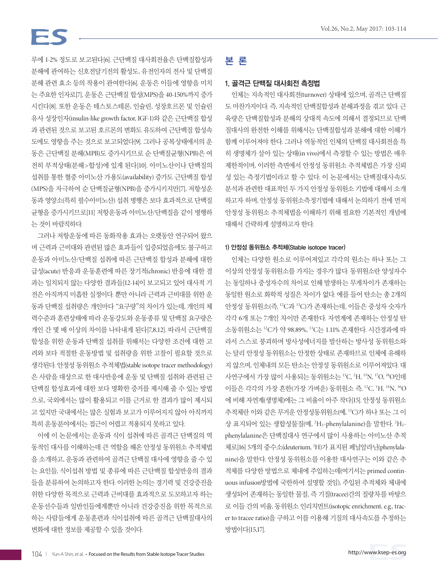# FS

루에 1-2% 정도로 보고된다[6]. 근단백질 대사회전율은 단백질합성과 분해에 관여하는 신호전달기전의 활성도, 유전인자의 전사 및 단백질 분해 관련 효소 등의 작용이 관여한다[6]. 운동은 이들에 영향을 미치 는 주요한 인자로[7], 운동은 근단백질 합성(MPS)을 40-150%까지 증가 시킨다[8]. 또한 운동은 테스토스테론, 인슐린, 성장호르몬 및 인슐린 유사 성장인자(insulin-like growth factor, IGF-1)와 같은 근단백질 합성 과 관련된 것으로 보고된 호르몬의 변화도 유도하여 근단백질 합성속 도에도 영향을 주는 것으로 보고되었다[9]. 그러나 공복상태에서의 운 동은 근단백질 분해(MPB)도 증가시키므로 순 단백질균형(NPB)은 여 전히 부적상태(분해>합성)에 있게 된다[10]. 아미노산이나 단백질의 섭취를 통한 혈중 아미노산 가용도(availability) 증가도 근단백질 합성 (MPS)을 자극하여 순 단백질균형(NPB)을 증가시키지만[7], 저항성운 동과 영양소(특히 필수아미노산) 섭취 병행은 보다 효과적으로 단백질 균형을 증가시키므로[11] 저항운동과 아미노산/단백질을 같이 병행하 는 것이 바람직하다.

그러나 저항운동에 따른 동화작용 효과는 오랫동안 연구되어 왔으 며 근력과 근비대와 관련된 많은 효과들이 입증되었음에도 불구하고 운동과 아미노산/단백질 섭취에 따른 근단백질 합성과 분해에 대한 급성(acute) 반응과 운동훈련에 따른 장기적(chronic) 반응에 대한 결 과는 일치되지 않는 다양한 결과들[12-14]이 보고되고 있어 대사적 기 전은 아직까지 미흡한 실정이다. 뿐만 아니라 근력과 근비대를 위한 운 동과 단백질 섭취량은 개인마다 "요구량"의 차이가 있는데, 개인의 체 력수준과 훈련상태에 따라 운동강도와 운동종류 및 단백질 요구량은 개인 간 몇 배 이상의 차이를 나타내게 된다[7,8,12]. 따라서 근단백질 합성을 위한 운동과 단백질 섭취를 위해서는 다양한 조건에 대한 고 려와 보다 적절한 운동방법 및 섭취량을 위한 고찰이 필요할 것으로 생각된다. 안정성 동위원소 추적체법(stable isotope tracer methodology) 은 사람을 대상으로 한 대사반응에 운동 및 단백질 섭취와 관련된 근 단백질 합성효과에 대한 보다 명확한 증거를 제시해 줄 수 있는 방법 으로, 국외에서는 많이 활용되고 이를 근거로 한 결과가 많이 제시되 고 있지만 국내에서는 많은 실험과 보고가 이루어지지 않아 아직까지 특히 운동분야에서는 접근이 어렵고 적용되지 못하고 있다.

이에 이 논문에서는 운동과 식이 섭취에 따른 골격근 단백질의 역 동적인 대사를 이해하는데 큰 역할을 해온 안정성 동위원소 추적체법 을 소개하고, 운동과 관련하여 골격근 단백질 대사에 영향을 줄 수 있 는 요인들, 식이섭취 방법 및 종류에 따른 근단백질 합성반응의 결과 들을 분류하여 논의하고자 한다. 이러한 논의는 경기력 및 건강증진을 위한 다양한 목적으로 근력과 근비대를 효과적으로 도모하고자 하는 운동선수들과 일반인들에게뿐만 아니라 건강증진을 위한 목적으로 하는 사람들에게 운동훈련과 식이섭취에 따른 골격근 단백질대사의 변화에 대한 정보를 제공할 수 있을 것이다.

# 본 론

# 1. 골격근 단백질 대사회전 측정법

인체는 지속적인 대사회전(turnover) 상태에 있으며, 골격근 단백질 도 마찬가지이다. 즉, 지속적인 단백질합성과 분해과정을 겪고 있다. 근 육량은 단백질합성과 분해의 상대적 속도에 의해서 결정되므로 단백 질대사의 완전한 이해를 위해서는 단백질합성과 분해에 대한 이해가 함께 이루어져야 한다. 그러나 역동적인 인체의 단백질 대사회전을 특 히 생명체가 살아 있는 상태(in vivo)에서 측정할 수 있는 방법은 매우 제한적이며, 이러한 측면에서 안정성 동위원소 추적체법은 가장 신뢰 성 있는 측정기법이라고 할 수 있다. 이 논문에서는 단백질대사속도 분석과 관련한 대표적인 두 가지 안정성 동위원소 기법에 대해서 소개 하고자 하며, 안정성 동위원소측정기법에 대해서 논의하기 전에 먼저 안정성 동위원소 추적체법을 이해하기 위해 필요한 기본적인 개념에 대해서 간략하게 설명하고자 한다.

## 1) 안정성 동위원소 추적체(Stable isotope tracer)

인체는 다양한 원소로 이루어져있고 각각의 원소는 하나 또는 그 이상의 안정성 동위원소를 가지는 경우가 많다. 동위원소란 양성자수 는 동일하나 중성자수의 차이로 인해 발생하는 무게차이가 존재하는 동일한 원소로 화학적 성질은 차이가 없다. 예를 들어 탄소는 총 2개의 안정성 동위원소(즉, 12C과 13C)가 존재하는데, 이들은 중성자 숫자가 각각 6개 또는 7개인 차이만 존재한다. 자연계에 존재하는 안정성 탄 소동위원소는 12C가 약 98.89%, 13C는 1.11% 존재한다. 시간경과에 따 라서 스스로 붕괴하며 방사성에너지를 발산하는 방사성 동위원소와 는 달리 안정성 동위원소는 안정한 상태로 존재하므로 인체에 유해하 지 않으며, 인체내의 모든 탄소는 안정성 동위원소로 이루어져있다. 대 사연구에서 가장 많이 사용되는 동위원소는 <sup>13</sup>C, <sup>2</sup>H, <sup>15</sup>N, <sup>17</sup>O, <sup>18</sup>O인데 이들은 각각의 가장 흔한(가장 가벼운) 동위원소 즉, <sup>12</sup>C, 'H, '<del>'</del>N, ''O 에 비해 자연계(생명체)에는 그 비율이 아주 작다[15]. 안정성 동위원소 추적체란 이와 같은 무거운 안정성동위원소(예, 13C)가 하나 또는 그 이 상 표지되어 있는 생합성물질(예, <sup>2</sup>H5-phenylalanine)을 말한다. <sup>2</sup>H5phenylalanine은 단백질대사 연구에서 많이 사용하는 아미노산 추적 체로[16] 5개의 중수소(deuterium, <sup>2</sup>H)가 표지된 페닐알라닌(phenylalanine)을 말한다. 안정성 동위원소를 이용한 대사연구는 이와 같은 추 적체를 다양한 방법으로 체내에 주입하는데(여기서는 primed continuous infusion방법에 국한하여 설명할 것임), 주입된 추적체와 체내에 생성되어 존재하는 동일한 물질, 즉 기질(tracee)간의 질량차를 바탕으 로 이들 간의 비율, 동위원소 인리치먼트(isotopic enrichment, e.g., tracer to tracee ratio)을 구하고 이를 이용해 기질의 대사속도를 추정하는 방법이다[15,17].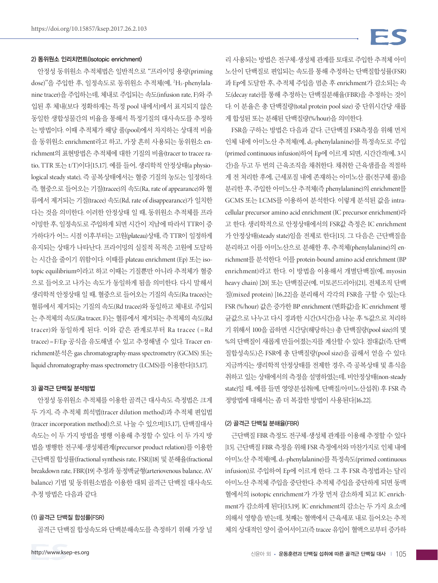#### 2) 동위원소 인리치먼트(Isotopic enrichment)

안정성 동위원소 추적체법은 일반적으로 "프라이밍 용량(priming dose)"을 주입한 후, 일정속도로 동위원소 추적체(예, 2 H5-phenylalanine tracer)을 주입하는데, 체내로 주입되는 속도(infusion rate, F)와 주 입된 후 체내(보다 정확하게는 특정 pool 내에서)에서 표지되지 않은 동일한 생합성물간의 비율을 통해서 특정기질의 대사속도를 추정하 는 방법이다. 이때 추적체가 해당 풀(pool)에서 차지하는 상대적 비율 을 동위원소 enrichment라고 하고, 가장 흔히 사용되는 동위원소 enrichment의 표현방법은 추적체에 대한 기질의 비율(tracer to tracee ratio, TTR 또는 t/T)이다[15,17]. 예를 들어, 생리학적 안정상태(a physiological steady state), 즉 공복상태에서는 혈중 기질의 농도는 일정하다. 즉, 혈중으로 들어오는 기질(tracee)의 속도(Ra, rate of appearance)와 혈 류에서 제거되는 기질(tracee) 속도(Rd, rate of disappearance)가 일치한 다는 것을 의미한다. 이러한 안정상태 일 때, 동위원소 추적체를 프라 이밍한 후, 일정속도로 주입하게 되면 시간이 지남에 따라서 TTR이 증 가하다가 어느 시점 이후부터는 고원(plateau)상태, 즉 TTR이 일정하게 유지되는 상태가 나타난다. 프라이밍의 실질적 목적은 고원에 도달하 는 시간을 줄이기 위함이다. 이때를 plateau enrichment (Ep) 또는 isotopic equilibrium이라고 하고 이때는 기질뿐만 아니라 추적체가 혈중 으로 들어오고 나가는 속도가 동일하게 됨을 의미한다. 다시 말해서 생리학적 안정상태 일 때, 혈중으로 들어오는 기질의 속도(Ra tracee)는 혈류에서 제거되는 기질의 속도(Rd tracee)와 동일하고 체내로 주입되 는 추적체의 속도(Ra tracer, F)는 혈류에서 제거되는 추적체의 속도(Rd tracer)와 동일하게 된다. 이와 같은 관계로부터 Ra tracee (=Rd tracee) = F/Ep 공식을 유도해낼 수 있고 추정해낼 수 있다. Tracer enrichment분석은 gas chromatography-mass spectrometry (GCMS) 또는 liquid chromatography-mass spectrometry (LCMS)를 이용한다[15,17].

#### 3) 골격근 단백질 분석방법

안정성 동위원소 추적체를 이용한 골격근 대사속도 측정법은 크게 두 가지, 즉 추적체 희석법(tracer dilution method)과 추적체 편입법 (tracer incorporation method)으로 나눌 수 있으며[15,17], 단백질대사 속도는 이 두 가지 방법을 병행 이용해 추정할 수 있다. 이 두 가지 방 법을 병행한 전구체-생성체관계(precursor product relation)를 이용한 근단백질 합성률(fractional synthesis rate, FSR)[18] 및 분해율(fractional breakdown rate, FBR)[19] 추정과 동정맥균형(arteriovenous balance, AV balance) 기법 및 동위원소법을 이용한 대퇴 골격근 단백질 대사속도 추정 방법은 다음과 같다.

# (1) 골격근 단백질 합성률(FSR)

골격근 단백질 합성속도와 단백분해속도를 측정하기 위해 가장 널

리 사용되는 방법은 전구체-생성체 관계를 토대로 주입한 추적체 아미 노산이 단백질로 편입되는 속도를 통해 추정하는 단백질합성률(FSR) 과 Ep에 도달한 후, 추적체 주입을 멈춘 후 enrichment가 감소되는 속 도(decay rate)를 통해 추정하는 단백질분해율(FBR)을 추정하는 것이 다. 이 분율은 총 단백질량(total protein pool size) 중 단위시간당 새롭 게 합성된 또는 분해된 단백질량(%/hour)을 의미한다.

FSR을 구하는 방법은 다음과 같다. 근단백질 FSR측정을 위해 먼저 인체 내에 아미노산 추적체(예, d5-phenylalanine)를 특정속도로 주입 (primed continuous infusion)하여 Ep에 이르게 되면, 시간간격(예, 3시 간)을 두고 두 번의 근육조직을 채취한다. 채취한 근육샘플을 적절하 게 전 처리한 후에, 근세포질 내에 존재하는 아미노산 풀(전구체 풀)을 분리한 후, 주입한 아미노산 추적체(즉 phenylalanine)의 enrichment를 GCMS 또는 LCMS를 이용하여 분석한다. 이렇게 분석된 값을 intracellular precursor amino acid enrichment (IC precursor enrichment)라 고 한다. 생리학적으로 안정상태에서의 FSR값 측정은 IC enrichment 가 안정상태(steady state)임을 전제로 한다[15]. 그 다음은 근단백질을 분리하고 이를 아미노산으로 분해한 후, 추적체(phenylalanine)의 enrichment를 분석한다. 이를 protein-bound amino acid enrichment (BP enrichment)라고 한다. 이 방법을 이용해서 개별단백질(예, myosin heavy chain) [20] 또는 단백질군(예, 미토콘드리아)[21], 전체조직 단백 질(mixed protein) [16,22]을 분리해서 각각의 FSR을 구할 수 있는다. FSR (%/hour) 값은 증가한 BP enrichment (변화값)을 IC enrichment 평 균값으로 나누고 다시 경과한 시간(3시간)을 나눈 후 %값으로 처리하 기 위해서 100을 곱하면 시간당(해당하는) 총 단백질량(pool size)의 몇 %의 단백질이 새롭게 만들어졌는지를 계산할 수 있다. 절대값(즉, 단백 질합성속도)은 FSR에 총 단백질량(pool size)을 곱해서 얻을 수 있다. 지금까지는 생리학적 안정상태를 전제한 경우, 즉 공복상태 및 휴식을 취하고 있는 상태에서의 측정을 설명하였는데, 비안정상태(non-steady state)일 때, 예를 들면 영양분섭취(예, 단백질/아미노산섭취) 후 FSR 측 정방법에 대해서는 좀 더 복잡한 방법이 사용된다[16,22].

#### (2) 골격근 단백질 분해율(FBR)

근단백질 FBR 측정도 전구체-생성체 관계를 이용해 추정할 수 있다 [15]. 근단백질 FBR 측정을 위해 FSR 측정에서와 마찬가지로 인체 내에 아미노산 추적체(예, d5-phenylalanine)를 특정속도(primed continuous infusion)로 주입하여 Ep에 이르게 한다. 그 후 FSR 측정법과는 달리 아미노산 추적체 주입을 중단한다. 추적체 주입을 중단하게 되면 동맥 혈에서의 isotopic enrichment가 가장 먼저 감소하게 되고 IC enrichment가 감소하게 된다[15,19]. IC enrichment의 감소는 두 가지 요소에 의해서 영향을 받는데, 첫째는 혈액에서 근육세포 내로 들어오는 추적 체의 상대적인 양이 줄어서이고(즉 tracee 유입이 혈액으로부터 증가하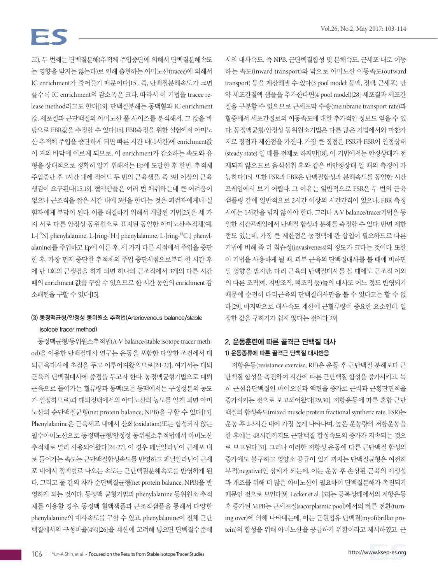# FS

고), 두 번째는 단백질분해(추적체 주입중단에 의해서 단백질분해속도 는 영향을 받지는 않는다)로 인해 출현하는 아미노산(tracee)에 의해서 IC enrichment가 줄어들기 때문이다[15]. 즉, 단백질분해속도가 크면 클수록 IC enrichment의 감소폭은 크다. 따라서 이 기법을 tracee release method라고도 한다[19]. 단백질분해는 동맥혈과 IC enrichment 값, 세포질과 근단백질의 아미노산 풀 사이즈를 분석해서, 그 값을 바 탕으로 FBR값을 추정할 수 있다[15]. FBR측정을 위한 실험에서 아미노 산 추적체 주입을 중단하게 되면 빠른 시간 내(-1시간)에 enrichment값 이 거의 바닥에 이르게 되므로, 이 enrichment가 감소하는 속도와 유 형을 상대적으로 정확히 알기 위해서는 Ep에 도달한 후 한번, 추적체 주입중단 후 1시간 내에 적어도 두 번의 근육샘플, 즉 3번 이상의 근육 생검이 요구된다[15,19]. 혈액샘플은 여러 번 채취하는데 큰 어려움이 없으나 근조직을 짧은 시간 내에 3번을 한다는 것은 피검자에게나 실 험자에게 부담이 된다. 이를 해결하기 위해서 개발된 기법[23]은 세 가 지 서로 다른 안정성 동위원소로 표지된 동일한 아미노산추적체(예, L-[<sup>15</sup>N] phenylalanine, L-[ring-<sup>2</sup>H<sub>5</sub>] phenylalanine, L-[ring-<sup>13</sup>C<sub>6</sub>] phenylalanine)를 주입하고 Ep에 이른 후, 세 가지 다른 시점에서 주입을 중단 한 후, 가장 먼저 중단한 추적체의 주입 중단시점으로부터 한 시간 후 에 단 1회의 근생검을 하게 되면 하나의 근조직에서 3개의 다른 시간 때의 enrichment 값을 구할 수 있으므로 한 시간 동안의 enrichment 감 소패턴을 구할 수 있다[15].

# (3) 동정맥균형/안정성 동위원소 추적법(Arteriovenous balance/stable isotope tracer method)

동정맥균형/동위원소추적법(A-V balance/stable isotope tracer method)을 이용한 단백질대사 연구는 운동을 포함한 다양한 조건에서 대 퇴근육대사에 초점을 두고 이루어져왔으므로[24-27], 여기서는 대퇴 근육의 단백질대사에 중점을 두고자 한다. 동정맥균형기법으로 대퇴 근육으로 들어가는 혈류량과 동맥(모든 동맥에서는 구성성분의 농도 가 일정하므로)과 대퇴정맥에서의 아미노산의 농도를 알게 되면 아미 노산의 순단백질균형(net protein balance, NPB)을 구할 수 있다[15]. Phenylalanine은 근육세포 내에서 산화(oxidation)또는 합성되지 않는 필수아미노산으로 동정맥균형/안정성 동위원소추적법에서 아미노산 추적체로 널리 사용되어왔다[24-27]. 이 경우 페닐알라닌이 근세포 내 로 들어가는 속도는 근단백질합성속도를 반영하고 페닐알라닌이 근세 포 내에서 정맥혈로 나오는 속도는 근단백질분해속도를 반영하게 된 다. 그리고 둘 간의 차가 순단백질균형(net protein balance, NPB)을 반 영하게 되는 것이다. 동정맥 균형기법과 phenylalanine 동위원소 추적 체를 이용할 경우, 동정맥 혈액샘플과 근조직샘플을 통해서 다양한 phenylalanine의 대사속도를 구할 수 있고, phenylalanine이 전체 근단 백질에서의 구성비율(4%)[26]을 계산에 고려해 넣으면 단백질수준에 서의 대사속도, 즉 NPB, 근단백질합성 및 분해속도, 근세포 내로 이동 하는 속도(inward transport)와 밖으로 아미노산 이동속도(outward transport) 등을 계산해낼 수 있다(3 pool model: 동맥, 정맥, 근세포). 만 약 세포간질액 샘플을 추가한다면(4 pool model)[28] 세포질과 세포간 질을 구분할 수 있으므로 근세포막 수송(membrane transport rate)과 혈중에서 세포간질로의 이동속도에 대한 추가적인 정보도 얻을 수 있 다. 동정맥균형/안정성 동위원소기법은 다른 많은 기법에서와 마찬가 지로 장점과 제한점을 가진다. 가장 큰 장점은 FSR과 FBR이 안정상태 (steady state) 일 때를 전제로 하지만[18], 이 기법에서는 안정상태가 전 제되지 않으므로 음식섭취 후와 같은 비안정상태 일 때의 측정이 가 능하다[15]. 또한 FSR과 FBR은 단백질합성과 분해속도를 동일한 시간 프레임에서 보기 어렵다. 그 이유는 일반적으로 FSR은 두 번의 근육 샘플링 간에 일반적으로 2시간 이상의 시간간격이 있으나, FBR 측정 시에는 1시간을 넘지 않아야 한다. 그러나 A-V balance/tracer기법은 동 일한 시간프레임에서 단백질 합성과 분해를 측정할 수 있다. 반면 제한 점도 있는데, 가장 큰 제한점은 동정맥에 관 삽입이 필요하므로 다른 기법에 비해 좀 더 침습성(invasiveness)의 정도가 크다는 것이다. 또한 이 기법을 사용하게 될 때, 피부 근육의 단백질대사를 볼 때에 비하면 덜 영향을 받지만, 다리 근육의 단백질대사를 볼 때에도 근조직 이외 의 다른 조직(예, 지방조직, 뼈조직 등)들의 대사도 어느 정도 반영되기 때문에 순전히 다리근육의 단백질대사만을 볼 수 있다고는 할 수 없 다[29]. 마지막으로 대사속도 계산에 근혈류량이 중요한 요소인데, 일 정한 값을 구하기가 쉽지 않다는 것이다[29].

# 2. 운동훈련에 따른 골격근 단백질 대사 1) 운동종류에 따른 골격근 단백질 대사반응

저항운동(resistance exercise, RE)은 운동 후 근단백질 분해보다 근 단백질 합성을 촉진하여 시간에 따른 근단백질 합성을 증가시키고, 특 히 근섬유단백질인 마이오신과 액틴을 증가로 근력과 근횡단면적을 증가시키는 것으로 보고되어왔다[29,30]. 저항운동에 따른 혼합 근단 백질의 합성속도(mixed muscle protein fractional synthetic rate, FSR)는 운동 후 2-3시간 내에 가장 높게 나타나며, 높은 운동량의 저항운동을 한 후에는 48시간까지도 근단백질 합성속도의 증가가 지속되는 것으 로 보고된다[31]. 그러나 이러한 저항성 운동에 따른 근단백질 합성의 증가에도 불구하고 영양소 공급이 있기 까지는 단백질균형은 여전히 부적(negative)인 상태가 되는데, 이는 운동 후 손상된 근육의 재생성 과 개조를 위해 더 많은 아미노산이 필요하여 단백질분해가 촉진되기 때문인 것으로 보인다[9]. Lecker et al. [32]는 공복상태에서의 저항운동 후 증가된 MPB는 근세포질(sacorplasmic pool)에서의 빠른 전환(turning over)에 의해 나타내는데, 이는 근원섬유 단백질(myofibrillar protein)의 합성을 위해 아미노산을 공급하기 위함이라고 제시하였고, 근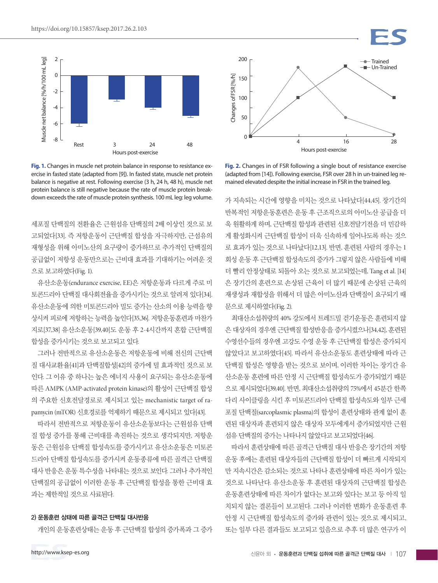

**Fig. 1.** Changes in muscle net protein balance in response to resistance exercise in fasted state (adapted from [9]). In fasted state, muscle net protein balance is negative at rest. Following exercise (3 h, 24 h, 48 h), muscle net protein balance is still negative because the rate of muscle protein breakdown exceeds the rate of muscle protein synthesis. 100 mL leg: leg volume.

세포질 단백질의 전환율은 근원섬유 단백질의 2배 이상인 것으로 보 고되었다[33]. 즉 저항운동이 근단백질 합성을 자극하지만, 근섬유의 재형성을 위해 아미노산의 요구량이 증가하므로 추가적인 단백질의 공급없이 저항성 운동만으로는 근비대 효과를 기대하기는 어려운 것 으로 보고하였다(Fig. 1).

유산소운동(endurance exercise, EE)은 저항운동과 다르게 주로 미 토콘드리아 단백질 대사회전율을 증가시키는 것으로 알려져 있다[34]. 유산소운동에 의한 미토콘드리아 밀도 증가는 산소의 이용 능력을 향 상시켜 피로에 저항하는 능력을 높인다[35,36]. 저항운동훈련과 마찬가 지로[37,38] 유산소운동[39,40]도 운동 후 2-4시간까지 혼합 근단백질 합성을 증가시키는 것으로 보고되고 있다.

그러나 전반적으로 유산소운동은 저항운동에 비해 전신의 근단백 질 대사교환율[41]과 단백질합성[42]의 증가에 덜 효과적인 것으로 보 인다. 그 이유 중 하나는 높은 에너지 사용이 요구되는 유산소운동에 따른 AMPK (AMP-activated protein kinase)의 활성이 근단백질 합성 의 주요한 신호전달경로로 제시되고 있는 mechanistic target of rapamycin (mTOR) 신호경로를 억제하기 때문으로 제시되고 있다[43].

따라서 전반적으로 저항운동이 유산소운동보다는 근원섬유 단백 질 합성 증가를 통해 근비대를 촉진하는 것으로 생각되지만, 저항운 동은 근원섬유 단백질 합성속도를 증가시키고 유산소운동은 미토콘 드리아 단백질 합성속도를 증가시켜 운동종류에 따른 골격근 단백질 대사 반응은 운동 특수성을 나타내는 것으로 보인다. 그러나 추가적인 단백질의 공급없이 이러한 운동 후 근단백질 합성을 통한 근비대 효 과는 제한적일 것으로 사료된다.

# 2) 운동훈련 상태에 따른 골격근 단백질 대사반응

개인의 운동훈련상태는 운동 후 근단백질 합성의 증가폭과 그 증가



**Fig. 2.** Changes in of FSR following a single bout of resistance exercise (adapted from [14]). Following exercise, FSR over 28 h in un-trained leg remained elevated despite the initial increase in FSR in the trained leg.

가 지속되는 시간에 영향을 미치는 것으로 나타났다[44,45]. 장기간의 반복적인 저항운동훈련은 운동 후 근조직으로의 아미노산 공급을 더 욱 원활하게 하며, 근단백질 합성과 관련된 신호전달기전을 더 민감하 게 활성화시켜 근단백질 합성이 더욱 신속하게 일어나도록 하는 것으 로 효과가 있는 것으로 나타났다[12,13]. 반면, 훈련된 사람의 경우는 1 회성 운동 후 근단백질 합성속도의 증가가 그렇지 않은 사람들에 비해 더 빨리 안정상태로 되돌아 오는 것으로 보고되었는데, Tang et al. [14] 은 장기간의 훈련으로 손상된 근육이 더 많기 때문에 손상된 근육의 재생성과 재합성을 위해서 더 많은 아미노산과 단백질이 요구되기 때 문으로 제시하였다(Fig. 2).

최대산소섭취량의 40% 강도에서 트레드밀 걷기운동은 훈련되지 않 은 대상자의 경우엔 근단백질 합성반응을 증가시켰으나[34,42], 훈련된 수영선수들의 경우엔 고강도 수영 운동 후 근단백질 합성은 증가되지 않았다고 보고하였다[45]. 따라서 유산소운동도 훈련상태에 따라 근 단백질 합성은 영향을 받는 것으로 보이며, 이러한 차이는 장기간 유 산소운동 훈련에 따른 안정 시 근단백질 합성속도가 증가되었기 때문 으로 제시되었다[39,40]. 반면, 최대산소섭취량의 75%에서 45분간 한쪽 다리 사이클링을 시킨 후 미토콘드리아 단백질 합성속도와 일부 근세 포질 단백질(sarcoplasmic plasma)의 합성이 훈련상태와 관계 없이 훈 련된 대상자과 훈련되지 않은 대상자 모두에게서 증가되었지만 근원 섬유 단백질의 증가는 나타나지 않았다고 보고되었다[46].

따라서 훈련상태에 따른 골격근 단백질 대사 반응은 장기간의 저항 운동 후에는 훈련된 대상자들의 근단백질 합성이 더 빠르게 시작되지 만 지속시간은 감소되는 것으로 나타나 훈련상태에 따른 차이가 있는 것으로 나타난다. 유산소운동 후 훈련된 대상자의 근단백질 합성은 운동훈련상태에 따른 차이가 없다는 보고와 있다는 보고 등 아직 일 치되지 않는 결론들이 보고된다. 그러나 이러한 변화가 운동훈련 후 안정 시 근단백질 합성속도의 증가와 관련이 있는 것으로 제시되고, 또는 일부 다른 결과들도 보고되고 있음으로 추후 더 많은 연구가 이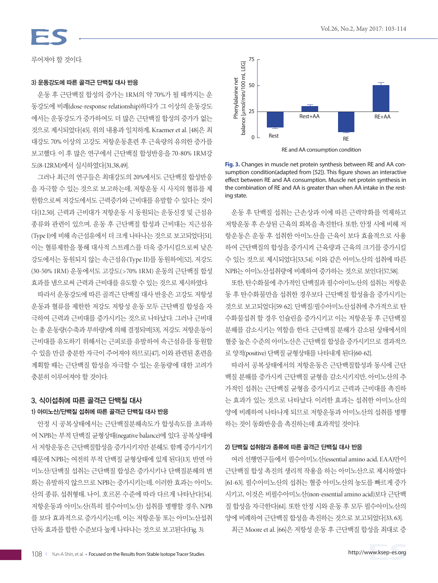루어져야 할 것이다.

### 3) 운동강도에 따른 골격근 단백질 대사 반응

운동 후 근단백질 합성의 증가는 1RM의 약 70%가 될 때까지는 운 동강도에 비례(dose-response relationship)하다가 그 이상의 운동강도 에서는 운동강도가 증가하여도 더 많은 근단백질 합성의 증가가 없는 것으로 제시되었다[45]. 위의 내용과 일치하게, Kraemer et al. [48]은 최 대강도 70% 이상의 고강도 저항운동훈련 후 근육량의 유의한 증가를 보고했다. 이 후 많은 연구에서 근단백질 합성반응을 70-80% 1RM강 도(8-12RM)에서 실시하였다[31,38,49].

그러나 최근의 연구들은 최대강도의 20%에서도 근단백질 합성반응 을 자극할 수 있는 것으로 보고하는데, 저항운동 시 사지의 혈류를 제 한함으로써 저강도에서도 근력증가와 근비대를 유발할 수 있다는 것이 다[12,50]. 근력과 근비대가 저항운동 시 동원되는 운동신경 및 근섬유 종류와 관련이 있으며, 운동 후 근단백질 합성과 근비대는 지근섬유 (Type I)에 비해 속근섬유에서 더 크게 나타나는 것으로 보고되었다[51]. 이는 혈류제한을 통해 대사적 스트레스를 더욱 증가시킴으로써 낮은 강도에서는 동원되지 않는 속근섬유(Type II)를 동원하여[52], 저강도 (30-50% 1RM) 운동에서도 고강도(>70% 1RM) 운동의 근단백질 합성 효과를 냄으로써 근력과 근비대를 유도할 수 있는 것으로 제시하였다.

따라서 운동강도에 따른 골격근 단백질 대사 반응은 고강도 저항성 운동과 혈류를 제한한 저강도 저항성 운동 모두 근단백질 합성을 자 극하여 근력과 근비대를 증가시키는 것으로 나타났다. 그러나 근비대 는 총 운동량(수축과 부하량)에 의해 결정되며[53], 저강도 저항운동이 근비대를 유도하기 위해서는 근피로를 유발하여 속근섬유를 동원할 수 있을 만큼 충분한 자극이 주어져야 하므로[47], 이와 관련된 훈련을 계획할 때는 근단백질 합성을 자극할 수 있는 운동량에 대한 고려가 충분히 이루어져야 할 것이다.

# 3. 식이섭취에 따른 골격근 단백질 대사 1) 아미노산/단백질 섭취에 따른 골격근 단백질 대사 반응

안정 시 공복상태에서는 근단백질분해속도가 합성속도를 초과하 여 NPB는 부적 단백질 균형상태(negative balance)에 있다. 공복상태에 서 저항운동은 근단백질합성을 증가시키지만 분해도 함께 증가시키기 때문에 NPB는 여전히 부적 단백질 균형상태에 있게 된다[13]. 반면 아 미노산/단백질 섭취는 근단백질 합성은 증가시키나 단백질분해의 변 화는 유발하지 않으므로 NPB는 증가시키는데, 이러한 효과는 아미노 산의 종류, 섭취형태, 나이, 호르몬 수준에 따라 다르게 나타난다[54]. 저항운동과 아미노산(특히 필수아미노산) 섭취를 병행할 경우, NPB 를 보다 효과적으로 증가시키는데, 이는 저항운동 또는 아미노산섭취 단독 효과를 합한 수준보다 높게 나타나는 것으로 보고된다(Fig. 3).



RE and AA consumption condition

**Fig. 3.** Changes in muscle net protein synthesis between RE and AA consumption condition(adapted from [52]). This figure shows an interactive effect between RE and AA consumption. Muscle net protein synthesis in the combination of RE and AA is greater than when AA intake in the resting state.

운동 후 단백질 섭취는 근손상과 이에 따른 근력약화를 억제하고 저항운동 후 손상된 근육의 회복을 촉진한다. 또한, 안정 시에 비해 저 항운동은 운동 후 섭취한 아미노산을 근육이 보다 효율적으로 사용 하여 근단백질의 합성을 증가시켜 근육량과 근육의 크기를 증가시킬 수 있는 것으로 제시되었다[53,54]. 이와 같은 아미노산의 섭취에 따른 NPB는 아미노산섭취량에 비례하여 증가하는 것으로 보인다[57,58].

또한, 탄수화물에 추가적인 단백질과 필수아미노산의 섭취는 저항운 동 후 탄수화물만을 섭취한 경우보다 근단백질 합성율을 증가시키는 것으로 보고되었다[59-62]. 단백질/필수아미노산섭취에 추가적으로 탄 수화물섭취 할 경우 인슐린을 증가시키고 이는 저항운동 후 근단백질 분해를 감소시키는 역할을 한다. 근단백질 분해가 감소된 상태에서의 혈중 높은 수준의 아미노산은 근단백질 합성을 증가시키므로 결과적으 로 양적(positive) 단백질 균형상태를 나타내게 된다[60-62].

따라서 공복상태에서의 저항운동은 근단백질합성과 동시에 근단 백질 분해를 증가시켜 근단백질 균형을 감소시키지만, 아미노산의 추 가적인 섭취는 근단백질 균형을 증가시키고 근력과 근비대를 촉진하 는 효과가 있는 것으로 나타났다. 이러한 효과는 섭취한 아미노산의 양에 비례하여 나타나게 되므로 저항운동과 아미노산의 섭취를 병행 하는 것이 동화반응을 촉진하는데 효과적일 것이다.

### 2) 단백질 섭취량과 종류에 따른 골격근 단백질 대사 반응

여러 선행연구들에서 필수아미노산(essential amino acid, EAA)만이 근단백질 합성 촉진의 생리적 작용을 하는 아미노산으로 제시하였다 [61-63]. 필수아미노산의 섭취는 혈중 아미노산의 농도를 빠르게 증가 시키고, 이것은 비필수아미노산(non-essential amino acid)보다 근단백 질 합성을 자극한다[61]. 또한 안정 시와 운동 후 모두 필수아미노산의 양에 비례하여 근단백질 합성을 촉진하는 것으로 보고되었다[33, 63]. 최근 Moore et al. [66]은 저항성 운동 후 근단백질 합성을 최대로 증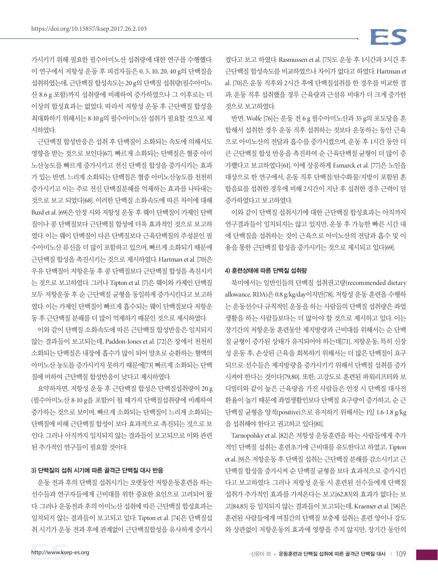가시키기 위해 필요한 필수아미노산 섭취량에 대한 연구를 수행했다. 이 연구에서 저항성 운동 후 피검자들은 0, 5, 10, 20, 40 g의 단백질을 섭취하였는데, 근단백질 합성속도는 20 g의 단백질 섭취량(필수아미노 산 8.6 g 포함)까지 섭취량에 비례하여 증가하였으나 그 이후로는 더 이상의 합성효과는 없었다. 따라서 저항성 운동 후 근단백질 합성을 최대화하기 위해서는 8-10 g의 필수아미노산 섭취가 필요할 것으로 제 시하였다.

근단백질 합성반응은 섭취 후 단백질이 소화되는 속도에 의해서도 영향을 받는 것으로 보인다[67]. 빠르게 소화되는 단백질은 혈중 아미 노산농도를 빠르게 증가시키고 전신 단백질 합성을 증가시키는 효과 가 있는 반면, 느리게 소화되는 단백질은 혈중 아미노산농도를 천천히 증가시키고 이는 주로 전신 단백질분해를 억제하는 효과를 나타내는 것으로 보고 되었다[68]. 이러한 단백질 소화속도에 따른 차이에 대해 Burd et al. [69]은 안정 시와 저항성 운동 후 웨이 단백질이 카제인 단백 질이나 콩 단백질보다 근단백질 합성에 더욱 효과적인 것으로 보고하 였다. 이는 웨이 단백질이 다른 단백질보다 근육단백질의 주성분인 필 수아미노산 류신을 더 많이 포함하고 있으며, 빠르게 소화되기 때문에 근단백질 합성을 촉진시키는 것으로 제시하였다. Hartman et al. [70]은 우유 단백질이 저항운동 후 콩 단백질보다 근단백질 합성을 촉진시키 는 것으로 보고하였다. 그러나 Tipton et al. [7]은 웨이와 카제인 단백질 모두 저항운동 후 순 근단백질 균형을 동일하게 증가시킨다고 보고하 였다. 이는 카제인 단백질이 빠르게 흡수되는 웨이 단백질보다 저항운 동 후 근단백질 분해를 더 많이 억제하기 때문인 것으로 제시하였다.

이와 같이 단백질 소화속도에 따른 근단백질 합성반응은 일치되지 않는 결과들이 보고되는데, Paddon-Jones et al. [72]은 장에서 천천히 소화되는 단백질은 내장에 흡수가 많이 되어 말초로 순환하는 혈액의 아미노산 농도를 증가시키지 못하기 때문에[73] 빠르게 소화되는 단백 질에 비하여 근단백질 합성반응이 낮다고 제시하였다.

요약하자면, 저항성 운동 후 근단백질 합성은 단백질섭취량이 20 g (필수아미노산 8-10 g을 포함)이 될 때가지 단백질섭취량에 비례하여 증가하는 것으로 보이며, 빠르게 소화되는 단백질이 느리게 소화되는 단백질에 비해 근단백질 합성이 보다 효과적으로 촉진되는 것으로 보 인다. 그러나 아직까지 일치되지 않는 결과들이 보고되므로 이와 관련 된 추가적인 연구들이 필요할 것이다.

## 3) 단백질의 섭취 시기에 따른 골격근 단백질 대사 반응

운동 전과 후의 단백질 섭취시기는 오랫동안 저항운동훈련을 하는 선수들과 연구자들에게 근비대를 위한 중요한 요인으로 고려되어 왔 다. 그러나 운동전과 후의 아미노산 섭취에 따른 근단백질 합성효과는 일치되지 않는 결과들이 보고되고 있다. Tipton et al. [74]은 단백질섭 취 시기가 운동 전과 후에 관계없이 근단백질합성을 유사하게 증가시

켰다고 보고 하였다. Rasmussen et al. [75]도 운동 후 1시간과 3시간 후 근단백질 합성속도를 비교하였으나 차이가 없다고 하였다. Hartman et al. [70]은 운동 직후와 2시간 후에 단백질섭취를 한 경우를 비교한 결 과, 운동 직후 섭취했을 경우 근육량과 근섬유 비대가 더 크게 증가한 것으로 보고하였다.

반면, Wolfe [76]는 운동 전 6 g 필수아미노산과 35 g의 포도당을 혼 합해서 섭취한 경우 운동 직후 섭취하는 것보다 운동하는 동안 근육 으로 아미노산의 전달과 흡수를 증가시켰으며, 운동 후 1시간 동안 더 큰 근단백질 합성 반응을 촉진하여 순 근육단백질 균형이 더 많이 증 가했다고 보고하였다[61]. 이에 상응하게 Esmarck et al. [77]은 노인을 대상으로 한 연구에서, 운동 직후 단백질/탄수화물/지방이 포함된 혼 합음료를 섭취한 경우에 비해 2시간이 지난 후 섭취한 경우 근력이 덜 증가하였다고 보고하였다.

이와 같이 단백질 섭취시기에 대한 근단백질 합성효과는 아직까지 연구결과들이 일치되지는 않고 있지만, 운동 후 가능한 빠른 시간 내 에 단백질을 섭취하는 것이 근육으로 아미노산의 전달과 흡수 및 이 용을 통한 근단백질 합성을 증가시키는 것으로 제시되고 있다[69].

### 4) 훈련상태에 따른 단백질 섭취량

북미에서는 일반인들의 단백질 섭취권고량(recommended dietary allowance, RDA)은 0.8 g/kg/day이지만[78], 저항성 운동 훈련을 수행하 는 운동선수나 규칙적인 운동을 하는 사람들의 단백질 섭취량은 좌업 생활을 하는 사람들보다는 더 많아야 할 것으로 제시하고 있다. 이는 장기간의 저항운동 훈련동안 제지방량과 근비대를 위해서는 순 단백 질 균형이 증가된 상태가 유지되어야 하는데[71], 저항운동, 특히 신장 성 운동 후, 손상된 근육을 회복하기 위해서는 더 많은 단백질이 요구 되므로 선수들은 제지방량을 증가시키기 위해서 단백질 섭취를 증가 시켜야 한다는 것이다[79,80]. 또한, 고강도로 훈련된 파워리프터와 보 디빌더와 같이 높은 근육량을 가진 사람들은 안정 시 단백질 대사전 환율이 높기 때문에 좌업생활인보다 단백질 요구량이 증가하고, 순 근 단백질 균형을 양적(positive)으로 유지하기 위해서는 1일 1.6-1.8 g/kg 을 섭취해야 한다고 권고하고 있다[81].

Tarnopolsky et al. [82]은 저항성 운동훈련을 하는 사람들에게 추가 적인 단백질 섭취는 훈련초기에 근비대를 유도한다고 하였고, Tipton et al. [9]은 저항운동 후 단백질 섭취는 근단백질 분해를 감소시키고 근 단백질 합성을 증가시켜 순 단백질 균형을 보다 효과적으로 증가시킨 다고 보고하였다. 그러나 저항성 운동 시 훈련된 선수들에게 단백질 섭취가 추가적인 효과를 가져온다는 보고[62,83]와 효과가 없다는 보 고[84,85] 등 일치되지 않는 결과들이 보고되는데, Kraemer et al. [58]은 훈련된 사람들에게 며칠간의 단백질 보충제 섭취는 훈련 양이나 강도 와 상관없이 저항운동의 효과에 영향을 주지 않지만, 장기간 동안의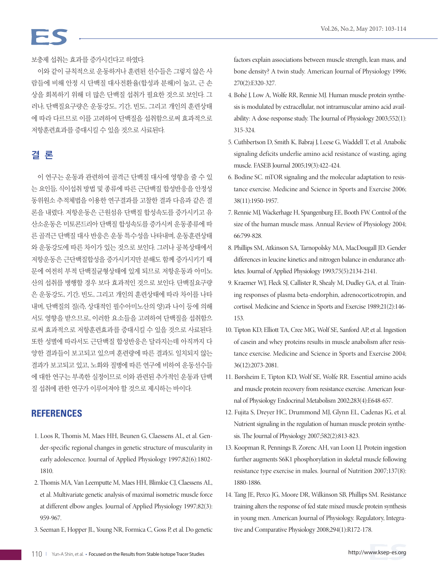보충제 섭취는 효과를 증가시킨다고 하였다.

이와 같이 규칙적으로 운동하거나 훈련된 선수들은 그렇지 않은 사 람들에 비해 안정 시 단백질 대사전환율(합성과 분해)이 높고, 근 손 상을 회복하기 위해 더 많은 단백질 섭취가 필요한 것으로 보인다. 그 러나, 단백질요구량은 운동강도, 기간, 빈도, 그리고 개인의 훈련상태 에 따라 다르므로 이를 고려하여 단백질을 섭취함으로써 효과적으로 저항훈련효과를 증대시킬 수 있을 것으로 사료된다.

# 결 론

이 연구는 운동과 관련하여 골격근 단백질 대사에 영향을 줄 수 있 는 요인들, 식이섭취 방법 및 종류에 따른 근단백질 합성반응을 안정성 동위원소 추적체법을 이용한 연구결과를 고찰한 결과 다음과 같은 결 론을 내렸다. 저항운동은 근원섬유 단백질 합성속도를 증가시키고 유 산소운동은 미토콘드리아 단백질 합성속도를 증가시켜 운동종류에 따 른 골격근 단백질 대사 반응은 운동 특수성을 나타내며, 운동훈련상태 와 운동강도에 따른 차이가 있는 것으로 보인다. 그러나 공복상태에서 저항운동은 근단백질합성을 증가시키지만 분해도 함께 증가시키기 때 문에 여전히 부적 단백질균형상태에 있게 되므로 저항운동과 아미노 산의 섭취를 병행할 경우 보다 효과적인 것으로 보인다. 단백질요구량 은 운동강도, 기간, 빈도, 그리고 개인의 훈련상태에 따라 차이를 나타 내며, 단백질의 질(즉, 상대적인 필수아미노산의 양)과 나이 등에 의해 서도 영향을 받으므로, 이러한 요소들을 고려하여 단백질을 섭취함으 로써 효과적으로 저항훈련효과를 증대시킬 수 있을 것으로 사료된다. 또한 성별에 따라서도 근단백질 합성반응은 달라지는데 아직까지 다 양한 결과들이 보고되고 있으며 훈련량에 따른 결과도 일치되지 않는 결과가 보고되고 있고, 노화와 질병에 따른 연구에 비하여 운동선수들 에 대한 연구는 부족한 실정이므로 이와 관련된 추가적인 운동과 단백 질 섭취에 관한 연구가 이루어져야 할 것으로 제시하는 바이다.

# **REFERENCES**

- 1. Loos R, Thomis M, Maes HH, Beunen G, Claessens AL, et al. Gender-specific regional changes in genetic structure of muscularity in early adolescence. Journal of Applied Physiology 1997;82(6):1802- 1810.
- 2. Thomis MA, Van Leemputte M, Maes HH, Blimkie CJ, Claessens AL, et al. Multivariate genetic analysis of maximal isometric muscle force at different elbow angles. Journal of Applied Physiology 1997;82(3): 959-967.
- 3. Seeman E, Hopper JL, Young NR, Formica C, Goss P, et al. Do genetic
- 4. Bohé J, Low A, Wolfe RR, Rennie MJ. Human muscle protein synthesis is modulated by extracellular, not intramuscular amino acid availability: A dose-response study. The Journal of Physiology 2003;552(1): 315-324.
- 5. Cuthbertson D, Smith K, Babraj J, Leese G, Waddell T, et al. Anabolic signaling deficits underlie amino acid resistance of wasting, aging muscle. FASEB Journal 2005;19(3):422-424.
- 6. Bodine SC. mTOR signaling and the molecular adaptation to resistance exercise. Medicine and Science in Sports and Exercise 2006; 38(11):1950-1957.
- 7. Rennie MJ, Wackerhage H, Spangenburg EE, Booth FW. Control of the size of the human muscle mass. Annual Review of Physiology 2004; 66:799-828.
- 8. Phillips SM, Atkinson SA, Tarnopolsky MA, MacDougall JD. Gender differences in leucine kinetics and nitrogen balance in endurance athletes. Journal of Applied Physiology 1993;75(5):2134-2141.
- 9. Kraemer WJ, Fleck SJ, Callister R, Shealy M, Dudley GA, et al. Training responses of plasma beta-endorphin, adrenocorticotropin, and cortisol. Medicine and Science in Sports and Exercise 1989;21(2):146- 153.
- 10. Tipton KD, Elliott TA, Cree MG, Wolf SE, Sanford AP, et al. Ingestion of casein and whey proteins results in muscle anabolism after resistance exercise. Medicine and Science in Sports and Exercise 2004; 36(12):2073-2081.
- 11. Børsheim E, Tipton KD, Wolf SE, Wolfe RR. Essential amino acids and muscle protein recovery from resistance exercise. American Journal of Physiology Endocrinal Metabolism 2002;283(4):E648-657.
- 12. Fujita S, Dreyer HC, Drummond MJ, Glynn EL, Cadenas JG, et al. Nutrient signaling in the regulation of human muscle protein synthesis. The Journal of Physiology 2007;582(2):813-823.
- 13. Koopman R, Pennings B, Zorenc AH, van Loon LJ. Protein ingestion further augments S6K1 phosphorylation in skeletal muscle following resistance type exercise in males. Journal of Nutrition 2007;137(8): 1880-1886.
- 14. Tang JE, Perco JG, Moore DR, Wilkinson SB, Phillips SM. Resistance training alters the response of fed state mixed muscle protein synthesis in young men. American Journal of Physiology. Regulatory, Integrative and Comparative Physiology 2008;294(1):R172-178.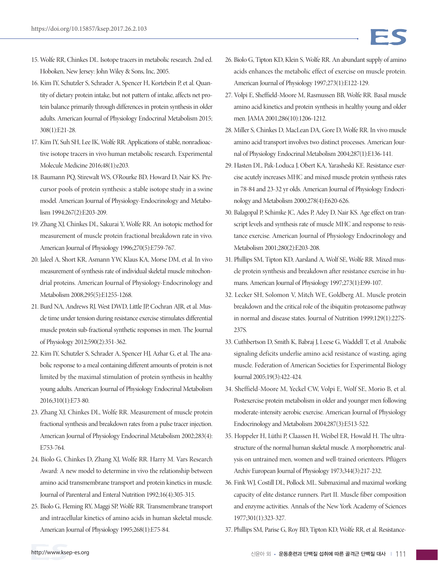- 15. Wolfe RR, Chinkes DL. Isotope tracers in metabolic research. 2nd ed. Hoboken, New Jersey: John Wiley & Sons, Inc, 2005.
- 16. Kim IY, Schutzler S, Schrader A, Spencer H, Kortebein P, et al. Quantity of dietary protein intake, but not pattern of intake, affects net protein balance primarily through differences in protein synthesis in older adults. American Journal of Physiology Endocrinal Metabolism 2015; 308(1):E21-28.
- 17. Kim IY, Suh SH, Lee IK, Wolfe RR. Applications of stable, nonradioactive isotope tracers in vivo human metabolic research. Experimental Molecule Medicine 2016;48(1):e203.
- 18. Baumann PQ, Stirewalt WS, O'Rourke BD, Howard D, Nair KS. Precursor pools of protein synthesis: a stable isotope study in a swine model. American Journal of Physiology-Endocrinology and Metabolism 1994;267(2):E203-209.
- 19. Zhang XJ, Chinkes DL, Sakurai Y, Wolfe RR. An isotopic method for measurement of muscle protein fractional breakdown rate in vivo. American Journal of Physiology 1996;270(5):E759-767.
- 20. Jaleel A, Short KR, Asmann YW, Klaus KA, Morse DM, et al. In vivo measurement of synthesis rate of individual skeletal muscle mitochondrial proteins. American Journal of Physiology-Endocrinology and Metabolism 2008;295(5):E1255-1268.
- 21. Burd NA, Andrews RJ, West DWD, Little JP, Cochran AJR, et al. Muscle time under tension during resistance exercise stimulates differential muscle protein sub-fractional synthetic responses in men. The Journal of Physiology 2012;590(2):351-362.
- 22. Kim IY, Schutzler S, Schrader A, Spencer HJ, Azhar G, et al. The anabolic response to a meal containing different amounts of protein is not limited by the maximal stimulation of protein synthesis in healthy young adults. American Journal of Physiology Endocrinal Metabolism 2016;310(1):E73-80.
- 23. Zhang XJ, Chinkes DL, Wolfe RR. Measurement of muscle protein fractional synthesis and breakdown rates from a pulse tracer injection. American Journal of Physiology Endocrinal Metabolism 2002;283(4): E753-764.
- 24. Biolo G, Chinkes D, Zhang XJ, Wolfe RR. Harry M. Vars Research Award: A new model to determine in vivo the relationship between amino acid transmembrane transport and protein kinetics in muscle. Journal of Parenteral and Enteral Nutrition 1992;16(4):305-315.
- 25. Biolo G, Fleming RY, Maggi SP, Wolfe RR. Transmembrane transport and intracellular kinetics of amino acids in human skeletal muscle. American Journal of Physiology 1995;268(1):E75-84.
- 26. Biolo G, Tipton KD, Klein S, Wolfe RR. An abundant supply of amino acids enhances the metabolic effect of exercise on muscle protein. American Journal of Physiology 1997;273(1):E122-129.
- 27. Volpi E, Sheffield-Moore M, Rasmussen BB, Wolfe RR. Basal muscle amino acid kinetics and protein synthesis in healthy young and older men. JAMA 2001;286(10):1206-1212.
- 28. Miller S, Chinkes D, MacLean DA, Gore D, Wolfe RR. In vivo muscle amino acid transport involves two distinct processes. American Journal of Physiology Endocrinal Metabolism 2004;287(1):E136-141.
- 29. Hasten DL, Pak-Loduca J, Obert KA, Yarasheski KE. Resistance exercise acutely increases MHC and mixed muscle protein synthesis rates in 78-84 and 23-32 yr olds. American Journal of Physiology Endocrinology and Metabolism 2000;278(4):E620-626.
- 30. Balagopal P, Schimke JC, Ades P, Adey D, Nair KS. Age effect on transcript levels and synthesis rate of muscle MHC and response to resistance exercise. American Journal of Physiology Endocrinology and Metabolism 2001;280(2):E203-208.
- 31. Phillips SM, Tipton KD, Aarsland A, Wolf SE, Wolfe RR. Mixed muscle protein synthesis and breakdown after resistance exercise in humans. American Journal of Physiology 1997;273(1):E99-107.
- 32. Lecker SH, Solomon V, Mitch WE, Goldberg AL. Muscle protein breakdown and the critical role of the ibiquitin-proteasome pathway in normal and disease states. Journal of Nutrition 1999;129(1):227S-237S.
- 33. Cuthbertson D, Smith K, Babraj J, Leese G, Waddell T, et al. Anabolic signaling deficits underlie amino acid resistance of wasting, aging muscle. Federation of American Societies for Experimental Biology Journal 2005;19(3):422-424.
- 34. Sheffield-Moore M, Yeckel CW, Volpi E, Wolf SE, Morio B, et al. Postexercise protein metabolism in older and younger men following moderate-intensity aerobic exercise. American Journal of Physiology Endocrinology and Metabolism 2004;287(3):E513-522.
- 35. Hoppeler H, Lüthi P, Claassen H, Weibel ER, Howald H. The ultrastructure of the normal human skeletal muscle. A morphometric analysis on untrained men, women and well-trained orienteers. Pflügers Archiv European Journal of Physiology 1973;344(3):217-232.
- 36. Fink WJ, Costill DL, Pollock ML. Submaximal and maximal working capacity of elite distance runners. Part II. Muscle fiber composition and enzyme activities. Annals of the New York Academy of Sciences 1977;301(1):323-327.
- 37. Phillips SM, Parise G, Roy BD, Tipton KD, Wolfe RR, et al. Resistance-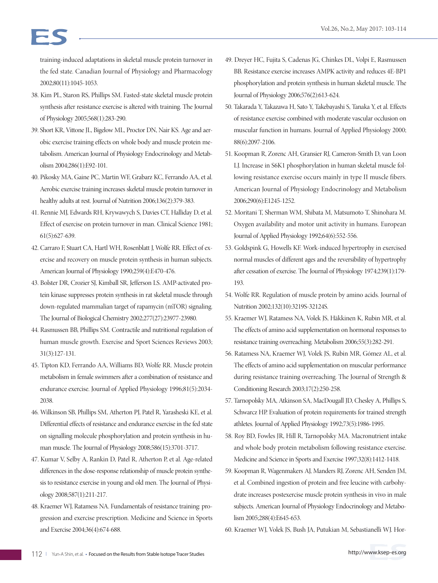training-induced adaptations in skeletal muscle protein turnover in the fed state. Canadian Journal of Physiology and Pharmacology 2002;80(11):1045-1053.

- 38. Kim PL, Staron RS, Phillips SM. Fasted-state skeletal muscle protein synthesis after resistance exercise is altered with training. The Journal of Physiology 2005;568(1):283-290.
- 39. Short KR, Vittone JL, Bigelow ML, Proctor DN, Nair KS. Age and aerobic exercise training effects on whole body and muscle protein metabolism. American Journal of Physiology Endocrinology and Metabolism 2004;286(1):E92-101.
- 40. Pikosky MA, Gaine PC, Martin WF, Grabarz KC, Ferrando AA, et al. Aerobic exercise training increases skeletal muscle protein turnover in healthy adults at rest. Journal of Nutrition 2006;136(2):379-383.
- 41. Rennie MJ, Edwards RH, Krywawych S, Davies CT, Halliday D, et al. Effect of exercise on protein turnover in man. Clinical Science 1981; 61(5):627-639.
- 42. Carraro F, Stuart CA, Hartl WH, Rosenblatt J, Wolfe RR. Effect of exercise and recovery on muscle protein synthesis in human subjects. American Journal of Physiology 1990;259(4):E470-476.
- 43. Bolster DR, Crozier SJ, Kimball SR, Jefferson LS. AMP-activated protein kinase suppresses protein synthesis in rat skeletal muscle through down-regulated mammalian target of rapamycin (mTOR) signaling. The Journal of Biological Chemistry 2002;277(27):23977-23980.
- 44. Rasmussen BB, Phillips SM. Contractile and nutritional regulation of human muscle growth. Exercise and Sport Sciences Reviews 2003; 31(3):127-131.
- 45. Tipton KD, Ferrando AA, Williams BD, Wolfe RR. Muscle protein metabolism in female swimmers after a combination of resistance and endurance exercise. Journal of Applied Physiology 1996;81(5):2034- 2038.
- 46. Wilkinson SB, Phillips SM, Atherton PJ, Patel R, Yarasheski KE, et al. Differential effects of resistance and endurance exercise in the fed state on signalling molecule phosphorylation and protein synthesis in human muscle. The Journal of Physiology 2008;586(15):3701-3717.
- 47. Kumar V, Selby A, Rankin D, Patel R, Atherton P, et al. Age-related differences in the dose-response relationship of muscle protein synthesis to resistance exercise in young and old men. The Journal of Physiology 2008;587(1):211-217.
- 48. Kraemer WJ, Ratamess NA. Fundamentals of resistance training: progression and exercise prescription. Medicine and Science in Sports and Exercise 2004;36(4):674-688.
- 49. Dreyer HC, Fujita S, Cadenas JG, Chinkes DL, Volpi E, Rasmussen BB. Resistance exercise increases AMPK activity and reduces 4E-BP1 phosphorylation and protein synthesis in human skeletal muscle. The Journal of Physiology 2006;576(2):613-624.
- 50. Takarada Y, Takazawa H, Sato Y, Takebayashi S, Tanaka Y, et al. Effects of resistance exercise combined with moderate vascular occlusion on muscular function in humans. Journal of Applied Physiology 2000; 88(6):2097-2106.
- 51. Koopman R, Zorenc AH, Gransier RJ, Cameron-Smith D, van Loon LJ. Increase in S6K1 phosphorylation in human skeletal muscle following resistance exercise occurs mainly in type II muscle fibers. American Journal of Physiology Endocrinology and Metabolism 2006;290(6):E1245-1252.
- 52. Moritani T, Sherman WM, Shibata M, Matsumoto T, Shinohara M. Oxygen availability and motor unit activity in humans. European Journal of Applied Physiology 1992;64(6):552-556.
- 53. Goldspink G, Howells KF. Work-induced hypertrophy in exercised normal muscles of different ages and the reversibility of hypertrophy after cessation of exercise. The Journal of Physiology 1974;239(1):179- 193.
- 54. Wolfe RR. Regulation of muscle protein by amino acids. Journal of Nutrition 2002;132(10):3219S-32124S.
- 55. Kraemer WJ, Ratamess NA, Volek JS, Häkkinen K, Rubin MR, et al. The effects of amino acid supplementation on hormonal responses to resistance training overreaching. Metabolism 2006;55(3):282-291.
- 56. Ratamess NA, Kraemer WJ, Volek JS, Rubin MR, Gómez AL, et al. The effects of amino acid supplementation on muscular performance during resistance training overreaching. The Journal of Strength & Conditioning Research 2003;17(2):250-258.
- 57. Tarnopolsky MA, Atkinson SA, MacDougall JD, Chesley A, Phillips S, Schwarcz HP. Evaluation of protein requirements for trained strength athletes. Journal of Applied Physiology 1992;73(5):1986-1995.
- 58. Roy BD, Fowles JR, Hill R, Tarnopolsky MA. Macronutrient intake and whole body protein metabolism following resistance exercise. Medicine and Science in Sports and Exercise 1997;32(8):1412-1418.
- 59. Koopman R, Wagenmakers AJ, Manders RJ, Zorenc AH, Senden JM, et al. Combined ingestion of protein and free leucine with carbohydrate increases postexercise muscle protein synthesis in vivo in male subjects. American Journal of Physiology Endocrinology and Metabolism 2005;288(4):E645-653.
- 60. Kraemer WJ, Volek JS, Bush JA, Putukian M, Sebastianelli WJ. Hor-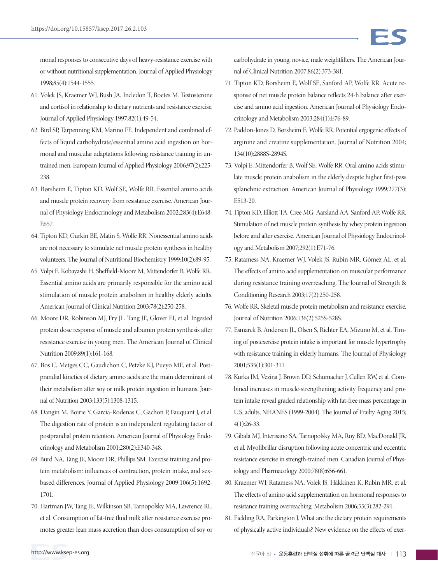monal responses to consecutive days of heavy-resistance exercise with or without nutritional supplementation. Journal of Applied Physiology 1998;85(4):1544-1555.

- 61. Volek JS, Kraemer WJ, Bush JA, Incledon T, Boetes M. Testosterone and cortisol in relationship to dietary nutrients and resistance exercise. Journal of Applied Physiology 1997;82(1):49-54.
- 62. Bird SP, Tarpenning KM, Marino FE. Independent and combined effects of liquid carbohydrate/essential amino acid ingestion on hormonal and muscular adaptations following resistance training in untrained men. European Journal of Applied Physiology 2006;97(2):225- 238.
- 63. Børsheim E, Tipton KD, Wolf SE, Wolfe RR. Essential amino acids and muscle protein recovery from resistance exercise. American Journal of Physiology Endocrinology and Metabolism 2002;283(4):E648- E657.
- 64. Tipton KD, Gurkin BE, Matin S, Wolfe RR. Nonessential amino acids are not necessary to stimulate net muscle protein synthesis in healthy volunteers. The Journal of Nutritional Biochemistry 1999;10(2):89-95.
- 65. Volpi E, Kobayashi H, Sheffield-Moore M, Mittendorfer B, Wolfe RR.. Essential amino acids are primarily responsible for the amino acid stimulation of muscle protein anabolism in healthy elderly adults. American Journal of Clinical Nutrition 2003;78(2):250-258.
- 66. Moore DR, Robinson MJ, Fry JL, Tang JE, Glover EI, et al. Ingested protein dose response of muscle and albumin protein synthesis after resistance exercise in young men. The American Journal of Clinical Nutrition 2009;89(1):161-168.
- 67. Bos C, Metges CC, Gaudichon C, Petzke KJ, Pueyo ME, et al. Postprandial kinetics of dietary amino acids are the main determinant of their metabolism after soy or milk protein ingestion in humans. Journal of Nutrition 2003;133(5):1308-1315.
- 68. Dangin M, Boirie Y, Garcia-Rodenas C, Gachon P, Fauquant J, et al. The digestion rate of protein is an independent regulating factor of postprandial protein retention. American Journal of Physiology Endocrinology and Metabolism 2001;280(2):E340-348.
- 69. Burd NA, Tang JE, Moore DR, Phillips SM. Exercise training and protein metabolism: influences of contraction, protein intake, and sexbased differences. Journal of Applied Physiology 2009;106(5):1692- 1701.
- 70. Hartman JW, Tang JE, Wilkinson SB, Tarnopolsky MA, Lawrence RL, et al. Consumption of fat-free fluid milk after resistance exercise promotes greater lean mass accretion than does consumption of soy or
- 71. Tipton KD, Borsheim E, Wolf SE, Sanford AP, Wolfe RR. Acute response of net muscle protein balance reflects 24-h balance after exercise and amino acid ingestion. American Journal of Physiology Endocrinology and Metabolism 2003;284(1):E76-89.
- 72. Paddon-Jones D, Børsheim E, Wolfe RR. Potential ergogenic effects of arginine and creatine supplementation. Journal of Nutrition 2004; 134(10):2888S-2894S.
- 73. Volpi E, Mittendorfer B, Wolf SE, Wolfe RR. Oral amino acids stimulate muscle protein anabolism in the elderly despite higher first-pass splanchnic extraction. American Journal of Physiology 1999;277(3): E513-20.
- 74. Tipton KD, Elliott TA, Cree MG, Aarsland AA, Sanford AP, Wolfe RR. Stimulation of net muscle protein synthesis by whey protein ingestion before and after exercise. American Journal of Physiology Endocrinology and Metabolism 2007;292(1):E71-76.
- 75. Ratamess NA, Kraemer WJ, Volek JS, Rubin MR, Gómez AL, et al. The effects of amino acid supplementation on muscular performance during resistance training overreaching. The Journal of Strength & Conditioning Research 2003;17(2):250-258.
- 76. Wolfe RR. Skeletal muscle protein metabolism and resistance exercise. Journal of Nutrition 2006;136(2):525S-528S.
- 77. Esmarck B, Andersen JL, Olsen S, Richter EA, Mizuno M, et al. Timing of postexercise protein intake is important for muscle hypertrophy with resistance training in elderly humans. The Journal of Physiology 2001;535(1):301-311.
- 78. Kurka JM, Vezina J, Brown DD, Schumacher J, Cullen RW, et al. Combined increases in muscle-strengthening activity frequency and protein intake reveal graded relationship with fat-free mass percentage in U.S. adults, NHANES (1999-2004). The Journal of Frailty Aging 2015; 4(1):26-33.
- 79. Gibala MJ, Interisano SA, Tarnopolsky MA, Roy BD, MacDonald JR, et al. Myofibrillar disruption following acute concentric and eccentric resistance exercise in strength-trained men. Canadian Journal of Physiology and Pharmacology 2000;78(8):656-661.
- 80. Kraemer WJ, Ratamess NA, Volek JS, Häkkinen K, Rubin MR, et al. The effects of amino acid supplementation on hormonal responses to resistance training overreaching. Metabolism 2006;55(3):282-291.
- 81. Fielding RA, Parkington J. What are the dietary protein requirements of physically active individuals? New evidence on the effects of exer-